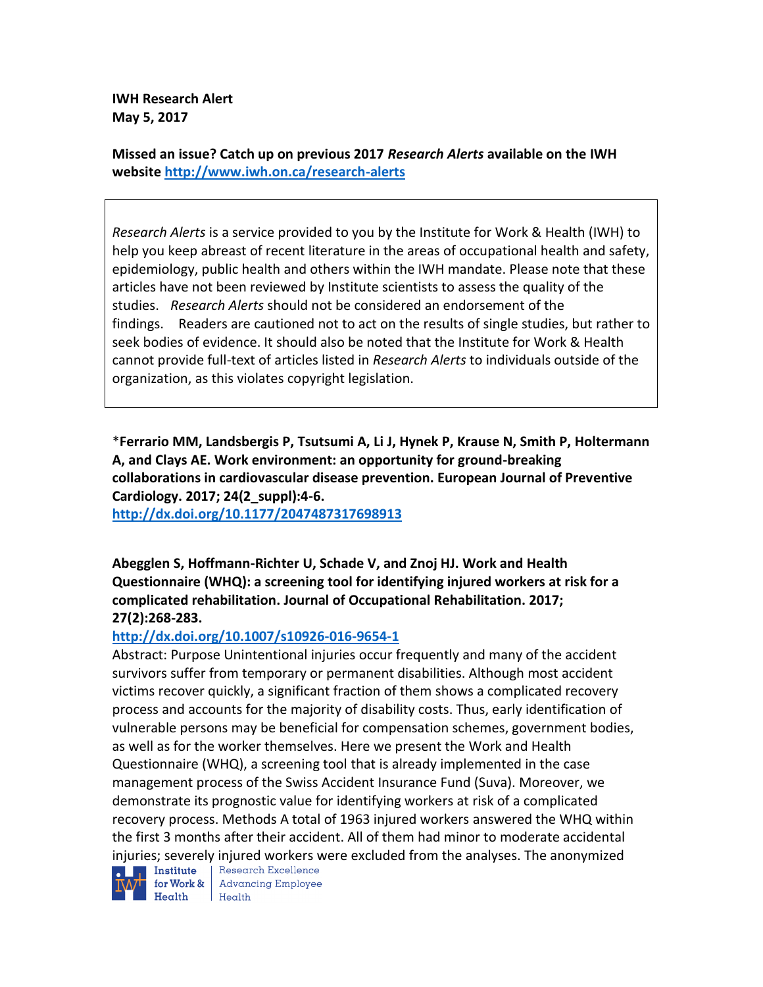**IWH Research Alert May 5, 2017**

**Missed an issue? Catch up on previous 2017** *Research Alerts* **available on the [IWH](http://www.iwh.on.ca/research-alerts)  [website](http://www.iwh.on.ca/research-alerts) <http://www.iwh.on.ca/research-alerts>**

*Research Alerts* is a service provided to you by the Institute for Work & Health (IWH) to help you keep abreast of recent literature in the areas of occupational health and safety, epidemiology, public health and others within the IWH mandate. Please note that these articles have not been reviewed by Institute scientists to assess the quality of the studies. *Research Alerts* should not be considered an endorsement of the findings. Readers are cautioned not to act on the results of single studies, but rather to seek bodies of evidence. It should also be noted that the Institute for Work & Health cannot provide full-text of articles listed in *Research Alerts* to individuals outside of the organization, as this violates copyright legislation.

\***Ferrario MM, Landsbergis P, Tsutsumi A, Li J, Hynek P, Krause N, Smith P, Holtermann A, and Clays AE. Work environment: an opportunity for ground-breaking collaborations in cardiovascular disease prevention. European Journal of Preventive Cardiology. 2017; 24(2\_suppl):4-6.** 

**<http://dx.doi.org/10.1177/2047487317698913>**

**Abegglen S, Hoffmann-Richter U, Schade V, and Znoj HJ. Work and Health Questionnaire (WHQ): a screening tool for identifying injured workers at risk for a complicated rehabilitation. Journal of Occupational Rehabilitation. 2017; 27(2):268-283.** 

#### **<http://dx.doi.org/10.1007/s10926-016-9654-1>**

Abstract: Purpose Unintentional injuries occur frequently and many of the accident survivors suffer from temporary or permanent disabilities. Although most accident victims recover quickly, a significant fraction of them shows a complicated recovery process and accounts for the majority of disability costs. Thus, early identification of vulnerable persons may be beneficial for compensation schemes, government bodies, as well as for the worker themselves. Here we present the Work and Health Questionnaire (WHQ), a screening tool that is already implemented in the case management process of the Swiss Accident Insurance Fund (Suva). Moreover, we demonstrate its prognostic value for identifying workers at risk of a complicated recovery process. Methods A total of 1963 injured workers answered the WHQ within the first 3 months after their accident. All of them had minor to moderate accidental injuries; severely injured workers were excluded from the analyses. The anonymized  $\blacksquare$  Institute  $\parallel$  Research Excellence



for Work & Advancing Employee Health Health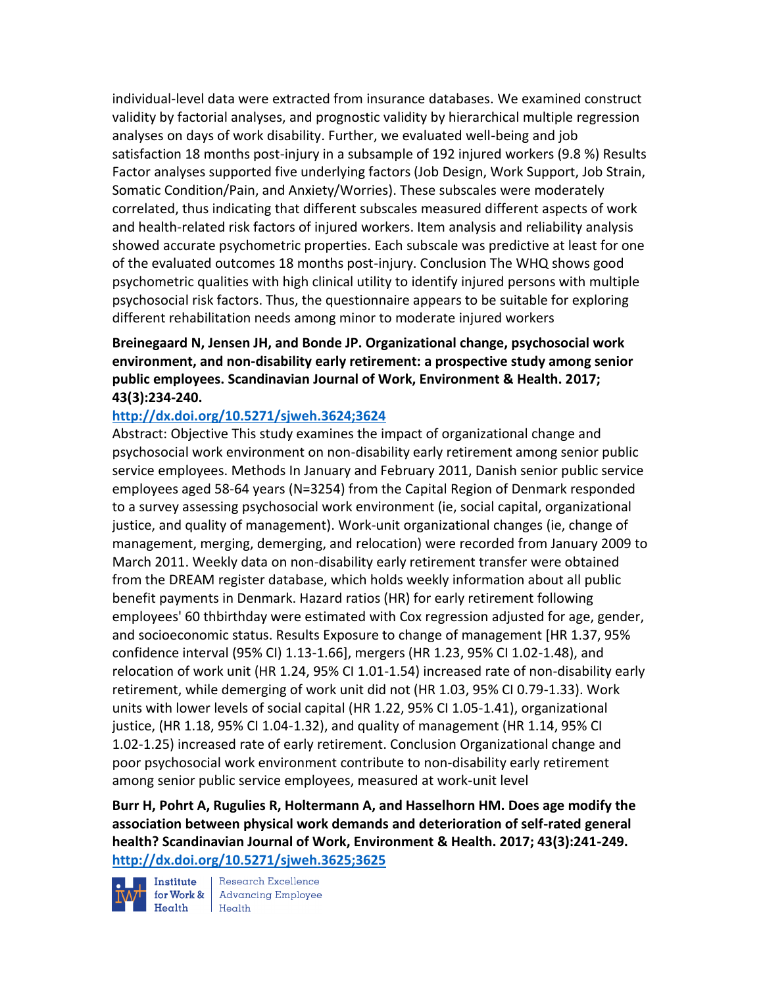individual-level data were extracted from insurance databases. We examined construct validity by factorial analyses, and prognostic validity by hierarchical multiple regression analyses on days of work disability. Further, we evaluated well-being and job satisfaction 18 months post-injury in a subsample of 192 injured workers (9.8 %) Results Factor analyses supported five underlying factors (Job Design, Work Support, Job Strain, Somatic Condition/Pain, and Anxiety/Worries). These subscales were moderately correlated, thus indicating that different subscales measured different aspects of work and health-related risk factors of injured workers. Item analysis and reliability analysis showed accurate psychometric properties. Each subscale was predictive at least for one of the evaluated outcomes 18 months post-injury. Conclusion The WHQ shows good psychometric qualities with high clinical utility to identify injured persons with multiple psychosocial risk factors. Thus, the questionnaire appears to be suitable for exploring different rehabilitation needs among minor to moderate injured workers

## **Breinegaard N, Jensen JH, and Bonde JP. Organizational change, psychosocial work environment, and non-disability early retirement: a prospective study among senior public employees. Scandinavian Journal of Work, Environment & Health. 2017; 43(3):234-240.**

#### **<http://dx.doi.org/10.5271/sjweh.3624;3624>**

Abstract: Objective This study examines the impact of organizational change and psychosocial work environment on non-disability early retirement among senior public service employees. Methods In January and February 2011, Danish senior public service employees aged 58-64 years (N=3254) from the Capital Region of Denmark responded to a survey assessing psychosocial work environment (ie, social capital, organizational justice, and quality of management). Work-unit organizational changes (ie, change of management, merging, demerging, and relocation) were recorded from January 2009 to March 2011. Weekly data on non-disability early retirement transfer were obtained from the DREAM register database, which holds weekly information about all public benefit payments in Denmark. Hazard ratios (HR) for early retirement following employees' 60 thbirthday were estimated with Cox regression adjusted for age, gender, and socioeconomic status. Results Exposure to change of management [HR 1.37, 95% confidence interval (95% CI) 1.13-1.66], mergers (HR 1.23, 95% CI 1.02-1.48), and relocation of work unit (HR 1.24, 95% CI 1.01-1.54) increased rate of non-disability early retirement, while demerging of work unit did not (HR 1.03, 95% CI 0.79-1.33). Work units with lower levels of social capital (HR 1.22, 95% CI 1.05-1.41), organizational justice, (HR 1.18, 95% CI 1.04-1.32), and quality of management (HR 1.14, 95% CI 1.02-1.25) increased rate of early retirement. Conclusion Organizational change and poor psychosocial work environment contribute to non-disability early retirement among senior public service employees, measured at work-unit level

**Burr H, Pohrt A, Rugulies R, Holtermann A, and Hasselhorn HM. Does age modify the association between physical work demands and deterioration of self-rated general health? Scandinavian Journal of Work, Environment & Health. 2017; 43(3):241-249. <http://dx.doi.org/10.5271/sjweh.3625;3625>**

 $\blacksquare$  Institute  $\operatorname*{Health}$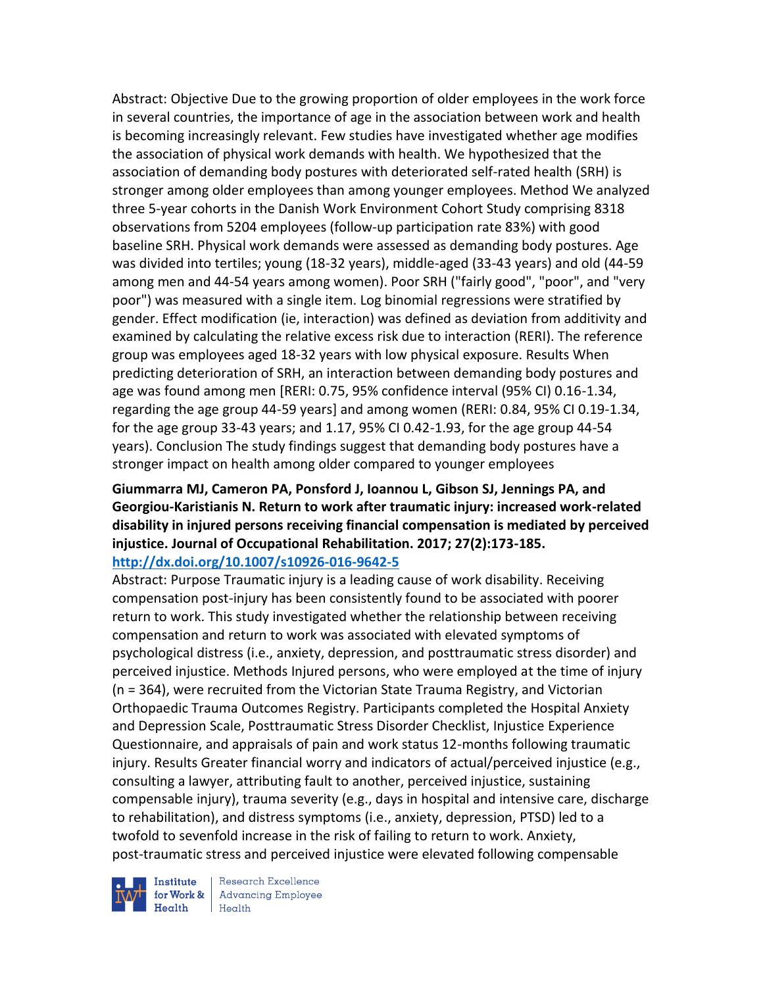Abstract: Objective Due to the growing proportion of older employees in the work force in several countries, the importance of age in the association between work and health is becoming increasingly relevant. Few studies have investigated whether age modifies the association of physical work demands with health. We hypothesized that the association of demanding body postures with deteriorated self-rated health (SRH) is stronger among older employees than among younger employees. Method We analyzed three 5-year cohorts in the Danish Work Environment Cohort Study comprising 8318 observations from 5204 employees (follow-up participation rate 83%) with good baseline SRH. Physical work demands were assessed as demanding body postures. Age was divided into tertiles; young (18-32 years), middle-aged (33-43 years) and old (44-59 among men and 44-54 years among women). Poor SRH ("fairly good", "poor", and "very poor") was measured with a single item. Log binomial regressions were stratified by gender. Effect modification (ie, interaction) was defined as deviation from additivity and examined by calculating the relative excess risk due to interaction (RERI). The reference group was employees aged 18-32 years with low physical exposure. Results When predicting deterioration of SRH, an interaction between demanding body postures and age was found among men [RERI: 0.75, 95% confidence interval (95% CI) 0.16-1.34, regarding the age group 44-59 years] and among women (RERI: 0.84, 95% CI 0.19-1.34, for the age group 33-43 years; and 1.17, 95% CI 0.42-1.93, for the age group 44-54 years). Conclusion The study findings suggest that demanding body postures have a stronger impact on health among older compared to younger employees

### **Giummarra MJ, Cameron PA, Ponsford J, Ioannou L, Gibson SJ, Jennings PA, and Georgiou-Karistianis N. Return to work after traumatic injury: increased work-related disability in injured persons receiving financial compensation is mediated by perceived injustice. Journal of Occupational Rehabilitation. 2017; 27(2):173-185. <http://dx.doi.org/10.1007/s10926-016-9642-5>**

Abstract: Purpose Traumatic injury is a leading cause of work disability. Receiving compensation post-injury has been consistently found to be associated with poorer return to work. This study investigated whether the relationship between receiving compensation and return to work was associated with elevated symptoms of psychological distress (i.e., anxiety, depression, and posttraumatic stress disorder) and perceived injustice. Methods Injured persons, who were employed at the time of injury (n = 364), were recruited from the Victorian State Trauma Registry, and Victorian Orthopaedic Trauma Outcomes Registry. Participants completed the Hospital Anxiety and Depression Scale, Posttraumatic Stress Disorder Checklist, Injustice Experience Questionnaire, and appraisals of pain and work status 12-months following traumatic injury. Results Greater financial worry and indicators of actual/perceived injustice (e.g., consulting a lawyer, attributing fault to another, perceived injustice, sustaining compensable injury), trauma severity (e.g., days in hospital and intensive care, discharge to rehabilitation), and distress symptoms (i.e., anxiety, depression, PTSD) led to a twofold to sevenfold increase in the risk of failing to return to work. Anxiety, post-traumatic stress and perceived injustice were elevated following compensable



**Institute** Research Excellence for Work  $\&\,$  Advancing Employee Health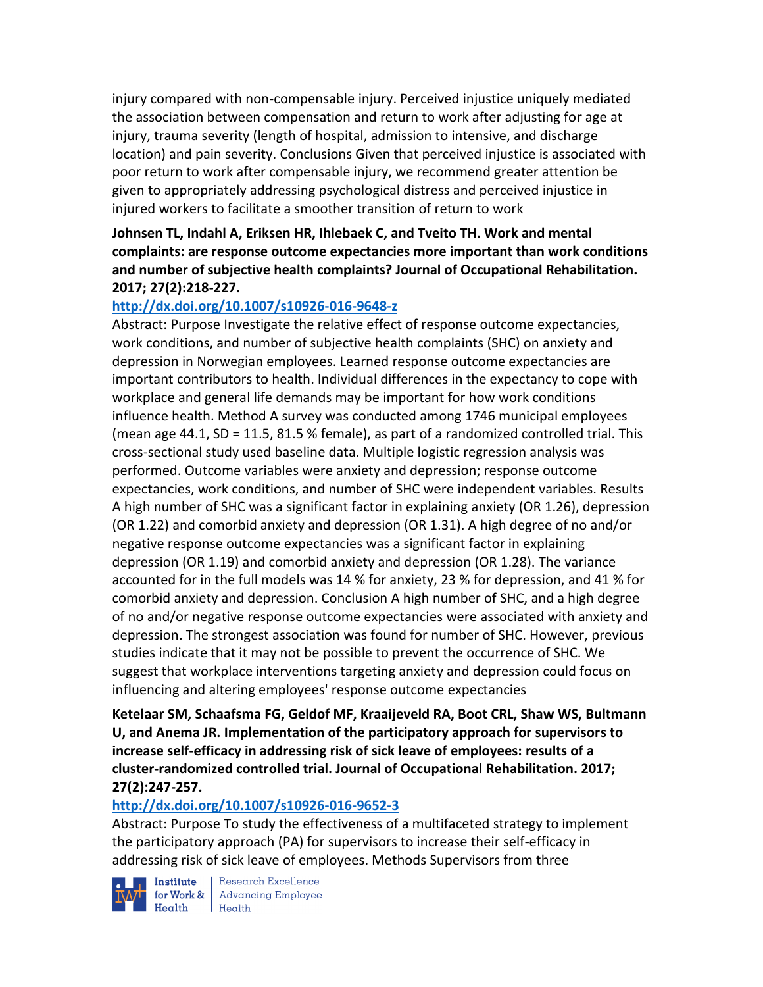injury compared with non-compensable injury. Perceived injustice uniquely mediated the association between compensation and return to work after adjusting for age at injury, trauma severity (length of hospital, admission to intensive, and discharge location) and pain severity. Conclusions Given that perceived injustice is associated with poor return to work after compensable injury, we recommend greater attention be given to appropriately addressing psychological distress and perceived injustice in injured workers to facilitate a smoother transition of return to work

**Johnsen TL, Indahl A, Eriksen HR, Ihlebaek C, and Tveito TH. Work and mental complaints: are response outcome expectancies more important than work conditions and number of subjective health complaints? Journal of Occupational Rehabilitation. 2017; 27(2):218-227.** 

## **<http://dx.doi.org/10.1007/s10926-016-9648-z>**

Abstract: Purpose Investigate the relative effect of response outcome expectancies, work conditions, and number of subjective health complaints (SHC) on anxiety and depression in Norwegian employees. Learned response outcome expectancies are important contributors to health. Individual differences in the expectancy to cope with workplace and general life demands may be important for how work conditions influence health. Method A survey was conducted among 1746 municipal employees (mean age 44.1, SD = 11.5, 81.5 % female), as part of a randomized controlled trial. This cross-sectional study used baseline data. Multiple logistic regression analysis was performed. Outcome variables were anxiety and depression; response outcome expectancies, work conditions, and number of SHC were independent variables. Results A high number of SHC was a significant factor in explaining anxiety (OR 1.26), depression (OR 1.22) and comorbid anxiety and depression (OR 1.31). A high degree of no and/or negative response outcome expectancies was a significant factor in explaining depression (OR 1.19) and comorbid anxiety and depression (OR 1.28). The variance accounted for in the full models was 14 % for anxiety, 23 % for depression, and 41 % for comorbid anxiety and depression. Conclusion A high number of SHC, and a high degree of no and/or negative response outcome expectancies were associated with anxiety and depression. The strongest association was found for number of SHC. However, previous studies indicate that it may not be possible to prevent the occurrence of SHC. We suggest that workplace interventions targeting anxiety and depression could focus on influencing and altering employees' response outcome expectancies

**Ketelaar SM, Schaafsma FG, Geldof MF, Kraaijeveld RA, Boot CRL, Shaw WS, Bultmann U, and Anema JR. Implementation of the participatory approach for supervisors to increase self-efficacy in addressing risk of sick leave of employees: results of a cluster-randomized controlled trial. Journal of Occupational Rehabilitation. 2017; 27(2):247-257.** 

#### **<http://dx.doi.org/10.1007/s10926-016-9652-3>**

Abstract: Purpose To study the effectiveness of a multifaceted strategy to implement the participatory approach (PA) for supervisors to increase their self-efficacy in addressing risk of sick leave of employees. Methods Supervisors from three

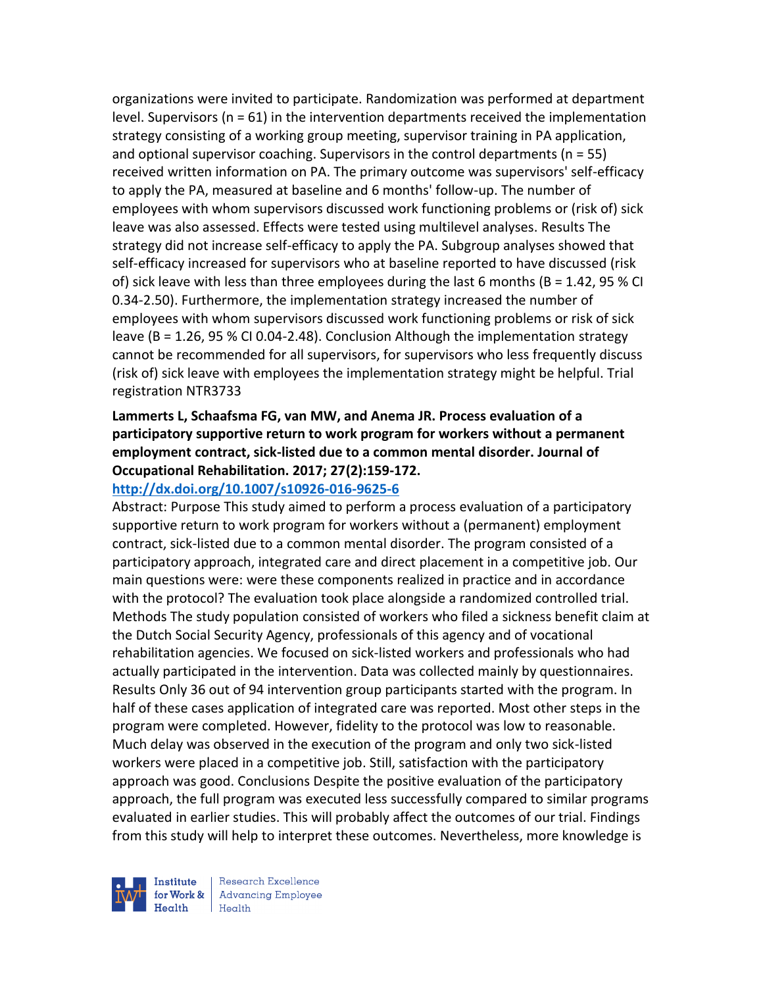organizations were invited to participate. Randomization was performed at department level. Supervisors ( $n = 61$ ) in the intervention departments received the implementation strategy consisting of a working group meeting, supervisor training in PA application, and optional supervisor coaching. Supervisors in the control departments ( $n = 55$ ) received written information on PA. The primary outcome was supervisors' self-efficacy to apply the PA, measured at baseline and 6 months' follow-up. The number of employees with whom supervisors discussed work functioning problems or (risk of) sick leave was also assessed. Effects were tested using multilevel analyses. Results The strategy did not increase self-efficacy to apply the PA. Subgroup analyses showed that self-efficacy increased for supervisors who at baseline reported to have discussed (risk of) sick leave with less than three employees during the last 6 months ( $B = 1.42$ , 95 % CI 0.34-2.50). Furthermore, the implementation strategy increased the number of employees with whom supervisors discussed work functioning problems or risk of sick leave (B = 1.26, 95 % CI 0.04-2.48). Conclusion Although the implementation strategy cannot be recommended for all supervisors, for supervisors who less frequently discuss (risk of) sick leave with employees the implementation strategy might be helpful. Trial registration NTR3733

## **Lammerts L, Schaafsma FG, van MW, and Anema JR. Process evaluation of a participatory supportive return to work program for workers without a permanent employment contract, sick-listed due to a common mental disorder. Journal of Occupational Rehabilitation. 2017; 27(2):159-172.**

#### **<http://dx.doi.org/10.1007/s10926-016-9625-6>**

Abstract: Purpose This study aimed to perform a process evaluation of a participatory supportive return to work program for workers without a (permanent) employment contract, sick-listed due to a common mental disorder. The program consisted of a participatory approach, integrated care and direct placement in a competitive job. Our main questions were: were these components realized in practice and in accordance with the protocol? The evaluation took place alongside a randomized controlled trial. Methods The study population consisted of workers who filed a sickness benefit claim at the Dutch Social Security Agency, professionals of this agency and of vocational rehabilitation agencies. We focused on sick-listed workers and professionals who had actually participated in the intervention. Data was collected mainly by questionnaires. Results Only 36 out of 94 intervention group participants started with the program. In half of these cases application of integrated care was reported. Most other steps in the program were completed. However, fidelity to the protocol was low to reasonable. Much delay was observed in the execution of the program and only two sick-listed workers were placed in a competitive job. Still, satisfaction with the participatory approach was good. Conclusions Despite the positive evaluation of the participatory approach, the full program was executed less successfully compared to similar programs evaluated in earlier studies. This will probably affect the outcomes of our trial. Findings from this study will help to interpret these outcomes. Nevertheless, more knowledge is



Institute Research Excellence<br>for Work & Advancing Employee<br>Health Health  $H$ ealth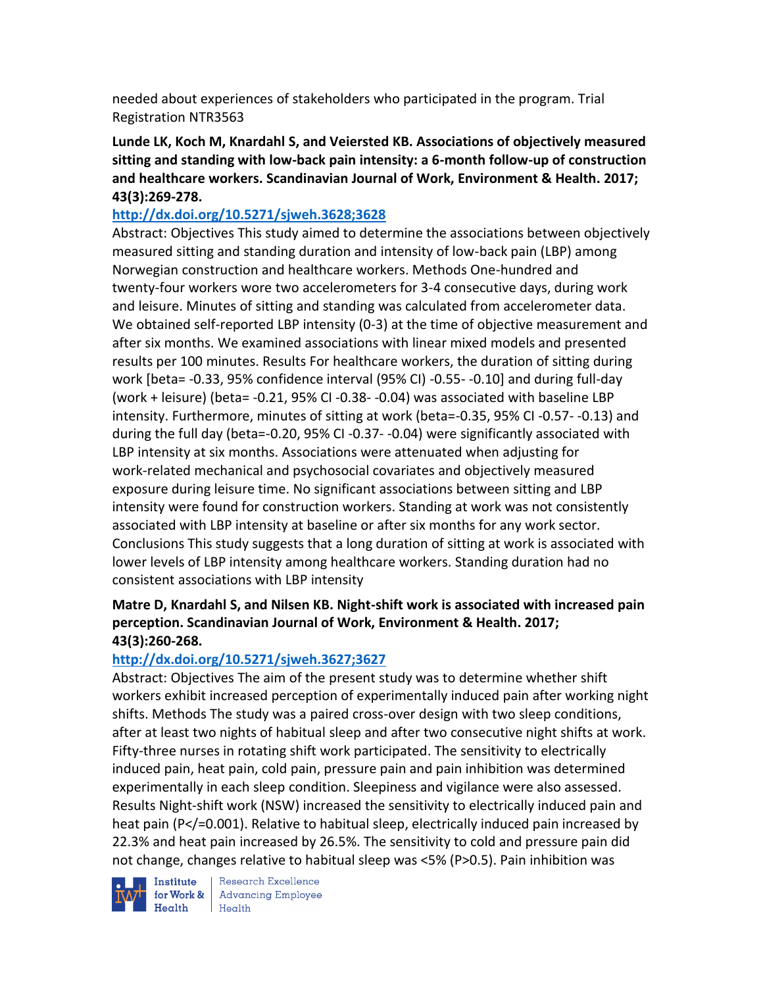needed about experiences of stakeholders who participated in the program. Trial Registration NTR3563

**Lunde LK, Koch M, Knardahl S, and Veiersted KB. Associations of objectively measured sitting and standing with low-back pain intensity: a 6-month follow-up of construction and healthcare workers. Scandinavian Journal of Work, Environment & Health. 2017; 43(3):269-278.** 

## **<http://dx.doi.org/10.5271/sjweh.3628;3628>**

Abstract: Objectives This study aimed to determine the associations between objectively measured sitting and standing duration and intensity of low-back pain (LBP) among Norwegian construction and healthcare workers. Methods One-hundred and twenty-four workers wore two accelerometers for 3-4 consecutive days, during work and leisure. Minutes of sitting and standing was calculated from accelerometer data. We obtained self-reported LBP intensity (0-3) at the time of objective measurement and after six months. We examined associations with linear mixed models and presented results per 100 minutes. Results For healthcare workers, the duration of sitting during work [beta= -0.33, 95% confidence interval (95% CI) -0.55- -0.10] and during full-day (work + leisure) (beta= -0.21, 95% CI -0.38- -0.04) was associated with baseline LBP intensity. Furthermore, minutes of sitting at work (beta=-0.35, 95% CI -0.57- -0.13) and during the full day (beta=-0.20, 95% CI -0.37- -0.04) were significantly associated with LBP intensity at six months. Associations were attenuated when adjusting for work-related mechanical and psychosocial covariates and objectively measured exposure during leisure time. No significant associations between sitting and LBP intensity were found for construction workers. Standing at work was not consistently associated with LBP intensity at baseline or after six months for any work sector. Conclusions This study suggests that a long duration of sitting at work is associated with lower levels of LBP intensity among healthcare workers. Standing duration had no consistent associations with LBP intensity

## **Matre D, Knardahl S, and Nilsen KB. Night-shift work is associated with increased pain perception. Scandinavian Journal of Work, Environment & Health. 2017; 43(3):260-268.**

## **<http://dx.doi.org/10.5271/sjweh.3627;3627>**

Abstract: Objectives The aim of the present study was to determine whether shift workers exhibit increased perception of experimentally induced pain after working night shifts. Methods The study was a paired cross-over design with two sleep conditions, after at least two nights of habitual sleep and after two consecutive night shifts at work. Fifty-three nurses in rotating shift work participated. The sensitivity to electrically induced pain, heat pain, cold pain, pressure pain and pain inhibition was determined experimentally in each sleep condition. Sleepiness and vigilance were also assessed. Results Night-shift work (NSW) increased the sensitivity to electrically induced pain and heat pain (P</=0.001). Relative to habitual sleep, electrically induced pain increased by 22.3% and heat pain increased by 26.5%. The sensitivity to cold and pressure pain did not change, changes relative to habitual sleep was <5% (P>0.5). Pain inhibition was

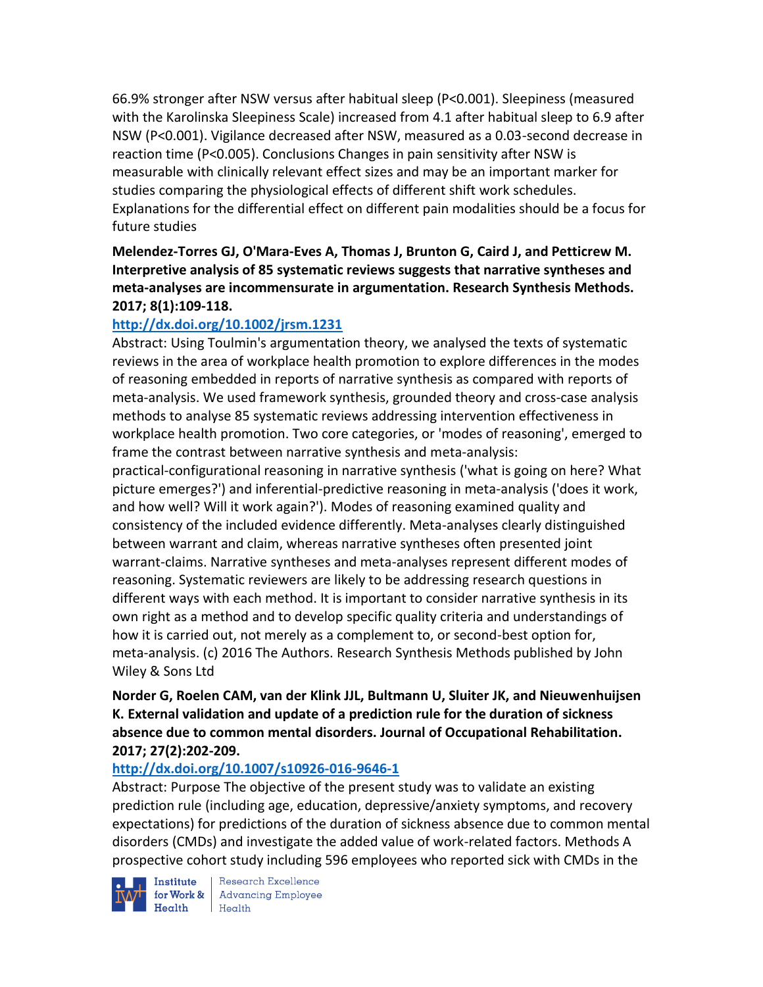66.9% stronger after NSW versus after habitual sleep (P<0.001). Sleepiness (measured with the Karolinska Sleepiness Scale) increased from 4.1 after habitual sleep to 6.9 after NSW (P<0.001). Vigilance decreased after NSW, measured as a 0.03-second decrease in reaction time (P<0.005). Conclusions Changes in pain sensitivity after NSW is measurable with clinically relevant effect sizes and may be an important marker for studies comparing the physiological effects of different shift work schedules. Explanations for the differential effect on different pain modalities should be a focus for future studies

**Melendez-Torres GJ, O'Mara-Eves A, Thomas J, Brunton G, Caird J, and Petticrew M. Interpretive analysis of 85 systematic reviews suggests that narrative syntheses and meta-analyses are incommensurate in argumentation. Research Synthesis Methods. 2017; 8(1):109-118.** 

## **<http://dx.doi.org/10.1002/jrsm.1231>**

Abstract: Using Toulmin's argumentation theory, we analysed the texts of systematic reviews in the area of workplace health promotion to explore differences in the modes of reasoning embedded in reports of narrative synthesis as compared with reports of meta-analysis. We used framework synthesis, grounded theory and cross-case analysis methods to analyse 85 systematic reviews addressing intervention effectiveness in workplace health promotion. Two core categories, or 'modes of reasoning', emerged to frame the contrast between narrative synthesis and meta-analysis:

practical-configurational reasoning in narrative synthesis ('what is going on here? What picture emerges?') and inferential-predictive reasoning in meta-analysis ('does it work, and how well? Will it work again?'). Modes of reasoning examined quality and consistency of the included evidence differently. Meta-analyses clearly distinguished between warrant and claim, whereas narrative syntheses often presented joint warrant-claims. Narrative syntheses and meta-analyses represent different modes of reasoning. Systematic reviewers are likely to be addressing research questions in different ways with each method. It is important to consider narrative synthesis in its own right as a method and to develop specific quality criteria and understandings of how it is carried out, not merely as a complement to, or second-best option for, meta-analysis. (c) 2016 The Authors. Research Synthesis Methods published by John Wiley & Sons Ltd

## **Norder G, Roelen CAM, van der Klink JJL, Bultmann U, Sluiter JK, and Nieuwenhuijsen K. External validation and update of a prediction rule for the duration of sickness absence due to common mental disorders. Journal of Occupational Rehabilitation. 2017; 27(2):202-209.**

#### **<http://dx.doi.org/10.1007/s10926-016-9646-1>**

Abstract: Purpose The objective of the present study was to validate an existing prediction rule (including age, education, depressive/anxiety symptoms, and recovery expectations) for predictions of the duration of sickness absence due to common mental disorders (CMDs) and investigate the added value of work-related factors. Methods A prospective cohort study including 596 employees who reported sick with CMDs in the

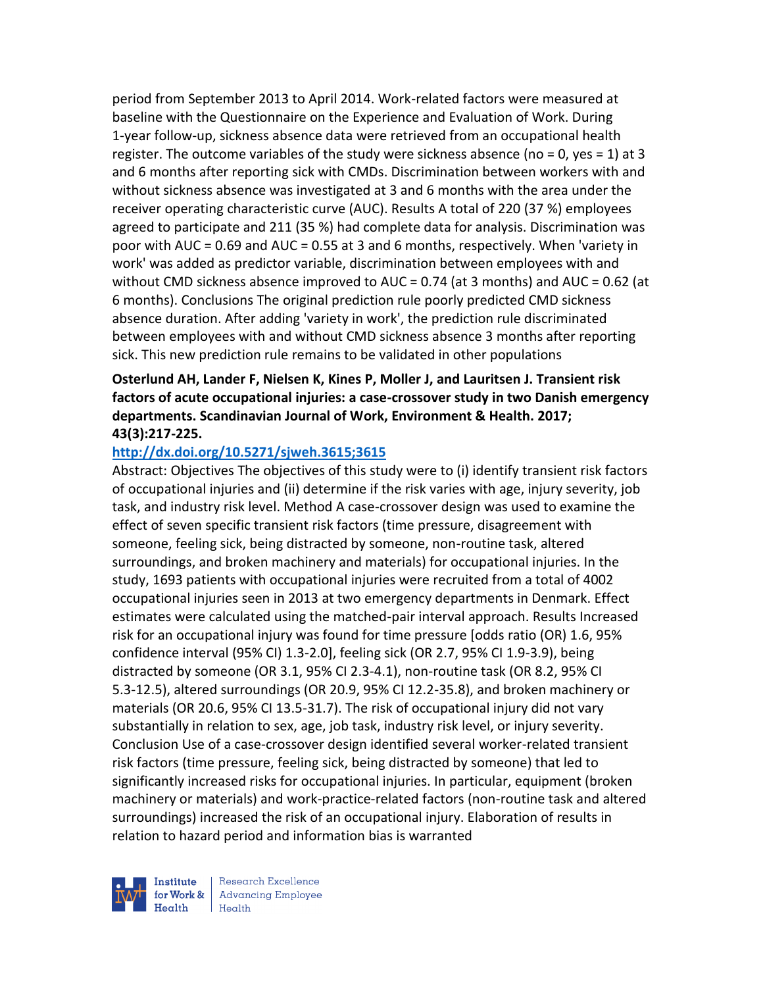period from September 2013 to April 2014. Work-related factors were measured at baseline with the Questionnaire on the Experience and Evaluation of Work. During 1-year follow-up, sickness absence data were retrieved from an occupational health register. The outcome variables of the study were sickness absence (no = 0, yes = 1) at 3 and 6 months after reporting sick with CMDs. Discrimination between workers with and without sickness absence was investigated at 3 and 6 months with the area under the receiver operating characteristic curve (AUC). Results A total of 220 (37 %) employees agreed to participate and 211 (35 %) had complete data for analysis. Discrimination was poor with AUC = 0.69 and AUC = 0.55 at 3 and 6 months, respectively. When 'variety in work' was added as predictor variable, discrimination between employees with and without CMD sickness absence improved to AUC = 0.74 (at 3 months) and AUC = 0.62 (at 6 months). Conclusions The original prediction rule poorly predicted CMD sickness absence duration. After adding 'variety in work', the prediction rule discriminated between employees with and without CMD sickness absence 3 months after reporting sick. This new prediction rule remains to be validated in other populations

## **Osterlund AH, Lander F, Nielsen K, Kines P, Moller J, and Lauritsen J. Transient risk factors of acute occupational injuries: a case-crossover study in two Danish emergency departments. Scandinavian Journal of Work, Environment & Health. 2017; 43(3):217-225.**

#### **<http://dx.doi.org/10.5271/sjweh.3615;3615>**

Abstract: Objectives The objectives of this study were to (i) identify transient risk factors of occupational injuries and (ii) determine if the risk varies with age, injury severity, job task, and industry risk level. Method A case-crossover design was used to examine the effect of seven specific transient risk factors (time pressure, disagreement with someone, feeling sick, being distracted by someone, non-routine task, altered surroundings, and broken machinery and materials) for occupational injuries. In the study, 1693 patients with occupational injuries were recruited from a total of 4002 occupational injuries seen in 2013 at two emergency departments in Denmark. Effect estimates were calculated using the matched-pair interval approach. Results Increased risk for an occupational injury was found for time pressure [odds ratio (OR) 1.6, 95% confidence interval (95% CI) 1.3-2.0], feeling sick (OR 2.7, 95% CI 1.9-3.9), being distracted by someone (OR 3.1, 95% CI 2.3-4.1), non-routine task (OR 8.2, 95% CI 5.3-12.5), altered surroundings (OR 20.9, 95% CI 12.2-35.8), and broken machinery or materials (OR 20.6, 95% CI 13.5-31.7). The risk of occupational injury did not vary substantially in relation to sex, age, job task, industry risk level, or injury severity. Conclusion Use of a case-crossover design identified several worker-related transient risk factors (time pressure, feeling sick, being distracted by someone) that led to significantly increased risks for occupational injuries. In particular, equipment (broken machinery or materials) and work-practice-related factors (non-routine task and altered surroundings) increased the risk of an occupational injury. Elaboration of results in relation to hazard period and information bias is warranted



Institute Research Excellence<br>for Work & Advancing Employee<br>Health Health  $H$ ealth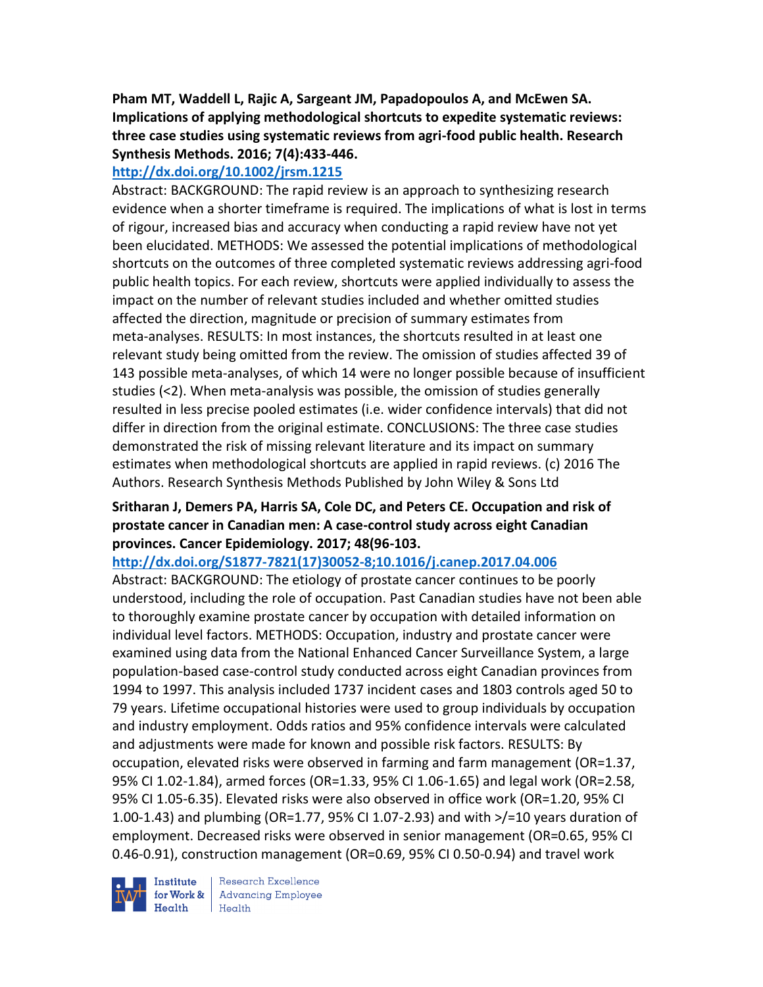## **Pham MT, Waddell L, Rajic A, Sargeant JM, Papadopoulos A, and McEwen SA. Implications of applying methodological shortcuts to expedite systematic reviews: three case studies using systematic reviews from agri-food public health. Research Synthesis Methods. 2016; 7(4):433-446.**

## **<http://dx.doi.org/10.1002/jrsm.1215>**

Abstract: BACKGROUND: The rapid review is an approach to synthesizing research evidence when a shorter timeframe is required. The implications of what is lost in terms of rigour, increased bias and accuracy when conducting a rapid review have not yet been elucidated. METHODS: We assessed the potential implications of methodological shortcuts on the outcomes of three completed systematic reviews addressing agri-food public health topics. For each review, shortcuts were applied individually to assess the impact on the number of relevant studies included and whether omitted studies affected the direction, magnitude or precision of summary estimates from meta-analyses. RESULTS: In most instances, the shortcuts resulted in at least one relevant study being omitted from the review. The omission of studies affected 39 of 143 possible meta-analyses, of which 14 were no longer possible because of insufficient studies (<2). When meta-analysis was possible, the omission of studies generally resulted in less precise pooled estimates (i.e. wider confidence intervals) that did not differ in direction from the original estimate. CONCLUSIONS: The three case studies demonstrated the risk of missing relevant literature and its impact on summary estimates when methodological shortcuts are applied in rapid reviews. (c) 2016 The Authors. Research Synthesis Methods Published by John Wiley & Sons Ltd

## **Sritharan J, Demers PA, Harris SA, Cole DC, and Peters CE. Occupation and risk of prostate cancer in Canadian men: A case-control study across eight Canadian provinces. Cancer Epidemiology. 2017; 48(96-103.**

#### **[http://dx.doi.org/S1877-7821\(17\)30052-8;10.1016/j.canep.2017.04.006](http://dx.doi.org/S1877-7821(17)30052-8;10.1016/j.canep.2017.04.006)**

Abstract: BACKGROUND: The etiology of prostate cancer continues to be poorly understood, including the role of occupation. Past Canadian studies have not been able to thoroughly examine prostate cancer by occupation with detailed information on individual level factors. METHODS: Occupation, industry and prostate cancer were examined using data from the National Enhanced Cancer Surveillance System, a large population-based case-control study conducted across eight Canadian provinces from 1994 to 1997. This analysis included 1737 incident cases and 1803 controls aged 50 to 79 years. Lifetime occupational histories were used to group individuals by occupation and industry employment. Odds ratios and 95% confidence intervals were calculated and adjustments were made for known and possible risk factors. RESULTS: By occupation, elevated risks were observed in farming and farm management (OR=1.37, 95% CI 1.02-1.84), armed forces (OR=1.33, 95% CI 1.06-1.65) and legal work (OR=2.58, 95% CI 1.05-6.35). Elevated risks were also observed in office work (OR=1.20, 95% CI 1.00-1.43) and plumbing (OR=1.77, 95% CI 1.07-2.93) and with >/=10 years duration of employment. Decreased risks were observed in senior management (OR=0.65, 95% CI 0.46-0.91), construction management (OR=0.69, 95% CI 0.50-0.94) and travel work

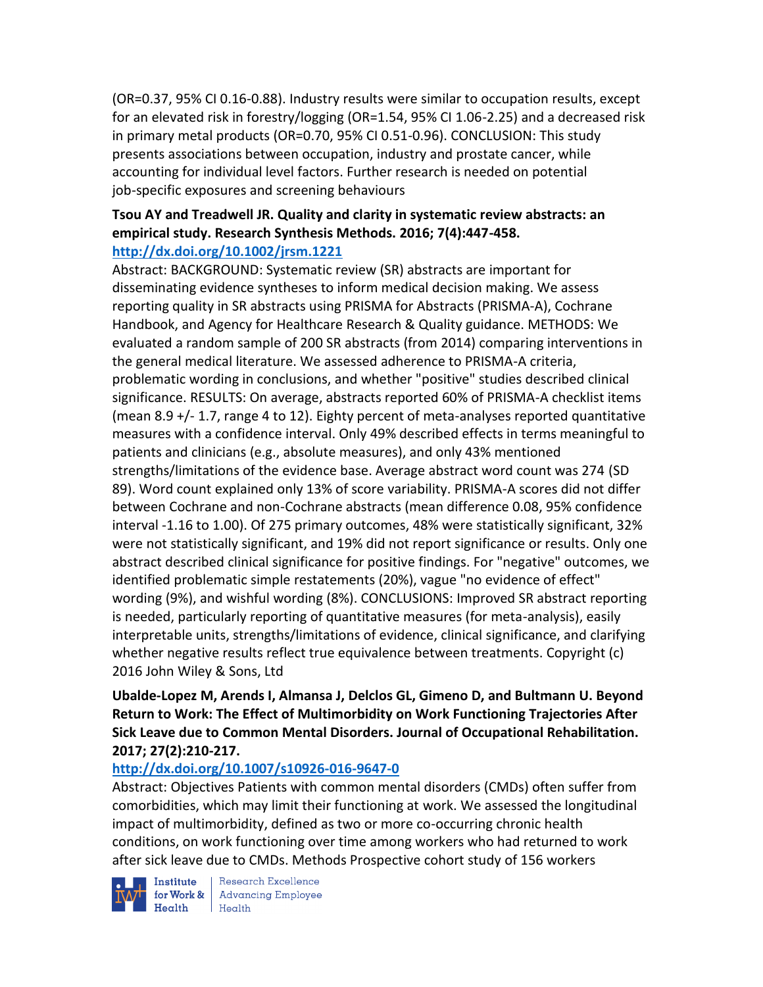(OR=0.37, 95% CI 0.16-0.88). Industry results were similar to occupation results, except for an elevated risk in forestry/logging (OR=1.54, 95% CI 1.06-2.25) and a decreased risk in primary metal products (OR=0.70, 95% CI 0.51-0.96). CONCLUSION: This study presents associations between occupation, industry and prostate cancer, while accounting for individual level factors. Further research is needed on potential job-specific exposures and screening behaviours

#### **Tsou AY and Treadwell JR. Quality and clarity in systematic review abstracts: an empirical study. Research Synthesis Methods. 2016; 7(4):447-458. <http://dx.doi.org/10.1002/jrsm.1221>**

Abstract: BACKGROUND: Systematic review (SR) abstracts are important for disseminating evidence syntheses to inform medical decision making. We assess reporting quality in SR abstracts using PRISMA for Abstracts (PRISMA-A), Cochrane Handbook, and Agency for Healthcare Research & Quality guidance. METHODS: We evaluated a random sample of 200 SR abstracts (from 2014) comparing interventions in the general medical literature. We assessed adherence to PRISMA-A criteria, problematic wording in conclusions, and whether "positive" studies described clinical significance. RESULTS: On average, abstracts reported 60% of PRISMA-A checklist items (mean 8.9 +/- 1.7, range 4 to 12). Eighty percent of meta-analyses reported quantitative measures with a confidence interval. Only 49% described effects in terms meaningful to patients and clinicians (e.g., absolute measures), and only 43% mentioned strengths/limitations of the evidence base. Average abstract word count was 274 (SD 89). Word count explained only 13% of score variability. PRISMA-A scores did not differ between Cochrane and non-Cochrane abstracts (mean difference 0.08, 95% confidence interval -1.16 to 1.00). Of 275 primary outcomes, 48% were statistically significant, 32% were not statistically significant, and 19% did not report significance or results. Only one abstract described clinical significance for positive findings. For "negative" outcomes, we identified problematic simple restatements (20%), vague "no evidence of effect" wording (9%), and wishful wording (8%). CONCLUSIONS: Improved SR abstract reporting is needed, particularly reporting of quantitative measures (for meta-analysis), easily interpretable units, strengths/limitations of evidence, clinical significance, and clarifying whether negative results reflect true equivalence between treatments. Copyright (c) 2016 John Wiley & Sons, Ltd

### **Ubalde-Lopez M, Arends I, Almansa J, Delclos GL, Gimeno D, and Bultmann U. Beyond Return to Work: The Effect of Multimorbidity on Work Functioning Trajectories After Sick Leave due to Common Mental Disorders. Journal of Occupational Rehabilitation. 2017; 27(2):210-217.**

#### **<http://dx.doi.org/10.1007/s10926-016-9647-0>**

Abstract: Objectives Patients with common mental disorders (CMDs) often suffer from comorbidities, which may limit their functioning at work. We assessed the longitudinal impact of multimorbidity, defined as two or more co-occurring chronic health conditions, on work functioning over time among workers who had returned to work after sick leave due to CMDs. Methods Prospective cohort study of 156 workers

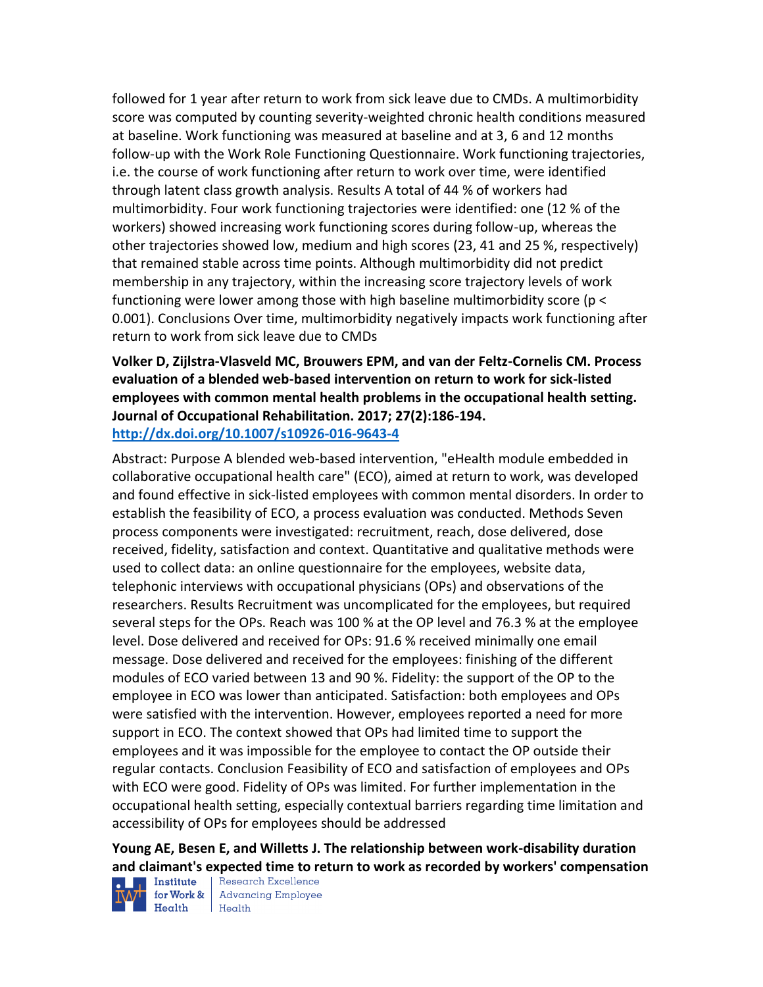followed for 1 year after return to work from sick leave due to CMDs. A multimorbidity score was computed by counting severity-weighted chronic health conditions measured at baseline. Work functioning was measured at baseline and at 3, 6 and 12 months follow-up with the Work Role Functioning Questionnaire. Work functioning trajectories, i.e. the course of work functioning after return to work over time, were identified through latent class growth analysis. Results A total of 44 % of workers had multimorbidity. Four work functioning trajectories were identified: one (12 % of the workers) showed increasing work functioning scores during follow-up, whereas the other trajectories showed low, medium and high scores (23, 41 and 25 %, respectively) that remained stable across time points. Although multimorbidity did not predict membership in any trajectory, within the increasing score trajectory levels of work functioning were lower among those with high baseline multimorbidity score (p < 0.001). Conclusions Over time, multimorbidity negatively impacts work functioning after return to work from sick leave due to CMDs

#### **Volker D, Zijlstra-Vlasveld MC, Brouwers EPM, and van der Feltz-Cornelis CM. Process evaluation of a blended web-based intervention on return to work for sick-listed employees with common mental health problems in the occupational health setting. Journal of Occupational Rehabilitation. 2017; 27(2):186-194. <http://dx.doi.org/10.1007/s10926-016-9643-4>**

Abstract: Purpose A blended web-based intervention, "eHealth module embedded in collaborative occupational health care" (ECO), aimed at return to work, was developed and found effective in sick-listed employees with common mental disorders. In order to establish the feasibility of ECO, a process evaluation was conducted. Methods Seven process components were investigated: recruitment, reach, dose delivered, dose received, fidelity, satisfaction and context. Quantitative and qualitative methods were used to collect data: an online questionnaire for the employees, website data, telephonic interviews with occupational physicians (OPs) and observations of the researchers. Results Recruitment was uncomplicated for the employees, but required several steps for the OPs. Reach was 100 % at the OP level and 76.3 % at the employee level. Dose delivered and received for OPs: 91.6 % received minimally one email message. Dose delivered and received for the employees: finishing of the different modules of ECO varied between 13 and 90 %. Fidelity: the support of the OP to the employee in ECO was lower than anticipated. Satisfaction: both employees and OPs were satisfied with the intervention. However, employees reported a need for more support in ECO. The context showed that OPs had limited time to support the employees and it was impossible for the employee to contact the OP outside their regular contacts. Conclusion Feasibility of ECO and satisfaction of employees and OPs with ECO were good. Fidelity of OPs was limited. For further implementation in the occupational health setting, especially contextual barriers regarding time limitation and accessibility of OPs for employees should be addressed

# **Young AE, Besen E, and Willetts J. The relationship between work-disability duration and claimant's expected time to return to work as recorded by workers' compensation**



for Work & | Advancing Employee  $H$ ealth